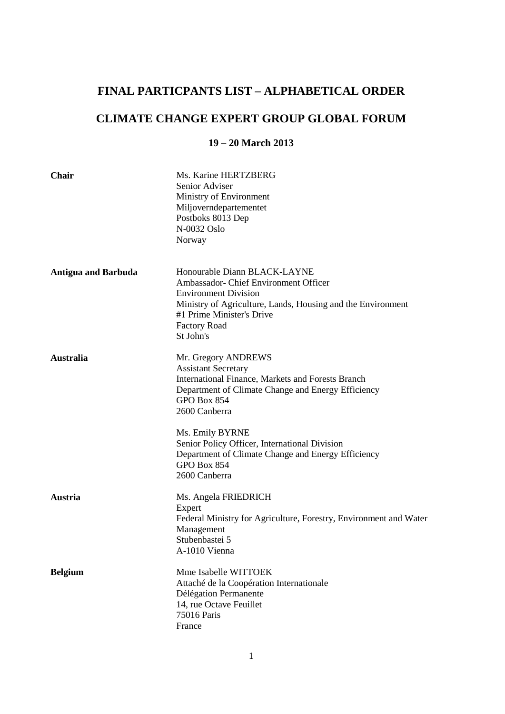## **FINAL PARTICPANTS LIST – ALPHABETICAL ORDER**

# **CLIMATE CHANGE EXPERT GROUP GLOBAL FORUM**

### **19 – 20 March 2013**

| Chair                      | Ms. Karine HERTZBERG<br>Senior Adviser<br>Ministry of Environment<br>Miljoverndepartementet<br>Postboks 8013 Dep<br>N-0032 Oslo<br>Norway                                                                                                                                                                                                              |
|----------------------------|--------------------------------------------------------------------------------------------------------------------------------------------------------------------------------------------------------------------------------------------------------------------------------------------------------------------------------------------------------|
| <b>Antigua and Barbuda</b> | Honourable Diann BLACK-LAYNE<br>Ambassador- Chief Environment Officer<br><b>Environment Division</b><br>Ministry of Agriculture, Lands, Housing and the Environment<br>#1 Prime Minister's Drive<br><b>Factory Road</b><br>St John's                                                                                                                   |
| <b>Australia</b>           | Mr. Gregory ANDREWS<br><b>Assistant Secretary</b><br>International Finance, Markets and Forests Branch<br>Department of Climate Change and Energy Efficiency<br>GPO Box 854<br>2600 Canberra<br>Ms. Emily BYRNE<br>Senior Policy Officer, International Division<br>Department of Climate Change and Energy Efficiency<br>GPO Box 854<br>2600 Canberra |
| <b>Austria</b>             | Ms. Angela FRIEDRICH<br>Expert<br>Federal Ministry for Agriculture, Forestry, Environment and Water<br>Management<br>Stubenbastei 5<br>A-1010 Vienna                                                                                                                                                                                                   |
| <b>Belgium</b>             | Mme Isabelle WITTOEK<br>Attaché de la Coopération Internationale<br>Délégation Permanente<br>14, rue Octave Feuillet<br>75016 Paris<br>France                                                                                                                                                                                                          |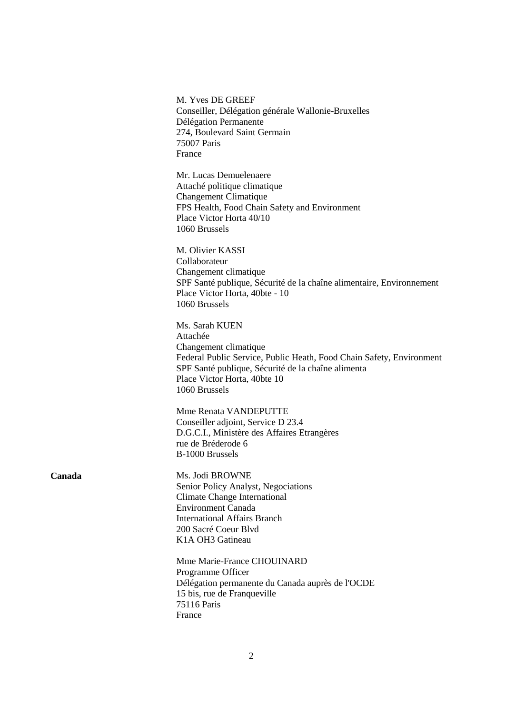|        | M. Yves DE GREEF<br>Conseiller, Délégation générale Wallonie-Bruxelles<br>Délégation Permanente<br>274, Boulevard Saint Germain<br>75007 Paris<br>France                                                                           |
|--------|------------------------------------------------------------------------------------------------------------------------------------------------------------------------------------------------------------------------------------|
|        | Mr. Lucas Demuelenaere<br>Attaché politique climatique<br><b>Changement Climatique</b><br>FPS Health, Food Chain Safety and Environment<br>Place Victor Horta 40/10<br>1060 Brussels                                               |
|        | M. Olivier KASSI<br>Collaborateur<br>Changement climatique<br>SPF Santé publique, Sécurité de la chaîne alimentaire, Environnement<br>Place Victor Horta, 40bte - 10<br>1060 Brussels                                              |
|        | Ms. Sarah KUEN<br>Attachée<br>Changement climatique<br>Federal Public Service, Public Heath, Food Chain Safety, Environment<br>SPF Santé publique, Sécurité de la chaîne alimenta<br>Place Victor Horta, 40bte 10<br>1060 Brussels |
|        | Mme Renata VANDEPUTTE<br>Conseiller adjoint, Service D 23.4<br>D.G.C.I., Ministère des Affaires Etrangères<br>rue de Bréderode 6<br>B-1000 Brussels                                                                                |
| Canada | Ms. Jodi BROWNE<br>Senior Policy Analyst, Negociations<br><b>Climate Change International</b><br><b>Environment Canada</b><br><b>International Affairs Branch</b><br>200 Sacré Coeur Blvd<br>K1A OH3 Gatineau                      |
|        | Mme Marie-France CHOUINARD<br>Programme Officer<br>Délégation permanente du Canada auprès de l'OCDE<br>15 bis, rue de Franqueville<br>75116 Paris<br>France                                                                        |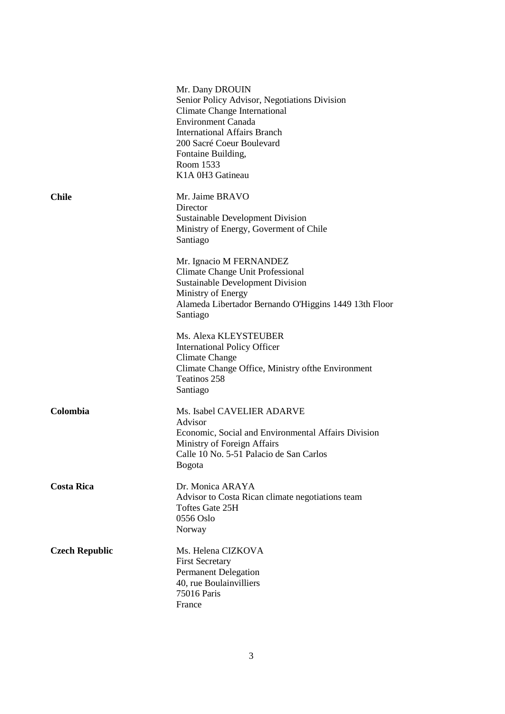|                       | Mr. Dany DROUIN<br>Senior Policy Advisor, Negotiations Division<br><b>Climate Change International</b><br><b>Environment Canada</b><br><b>International Affairs Branch</b><br>200 Sacré Coeur Boulevard<br>Fontaine Building,<br>Room 1533<br>K1A 0H3 Gatineau |
|-----------------------|----------------------------------------------------------------------------------------------------------------------------------------------------------------------------------------------------------------------------------------------------------------|
| <b>Chile</b>          | Mr. Jaime BRAVO<br>Director<br><b>Sustainable Development Division</b><br>Ministry of Energy, Governent of Chile<br>Santiago                                                                                                                                   |
|                       | Mr. Ignacio M FERNANDEZ<br>Climate Change Unit Professional<br><b>Sustainable Development Division</b><br>Ministry of Energy<br>Alameda Libertador Bernando O'Higgins 1449 13th Floor<br>Santiago                                                              |
|                       | Ms. Alexa KLEYSTEUBER<br><b>International Policy Officer</b><br>Climate Change<br>Climate Change Office, Ministry of the Environment<br>Teatinos 258<br>Santiago                                                                                               |
| Colombia              | Ms. Isabel CAVELIER ADARVE<br>Advisor<br>Economic, Social and Environmental Affairs Division<br>Ministry of Foreign Affairs<br>Calle 10 No. 5-51 Palacio de San Carlos<br>Bogota                                                                               |
| <b>Costa Rica</b>     | Dr. Monica ARAYA<br>Advisor to Costa Rican climate negotiations team<br>Toftes Gate 25H<br>0556 Oslo<br>Norway                                                                                                                                                 |
| <b>Czech Republic</b> | Ms. Helena CIZKOVA<br><b>First Secretary</b><br><b>Permanent Delegation</b><br>40, rue Boulainvilliers<br>75016 Paris<br>France                                                                                                                                |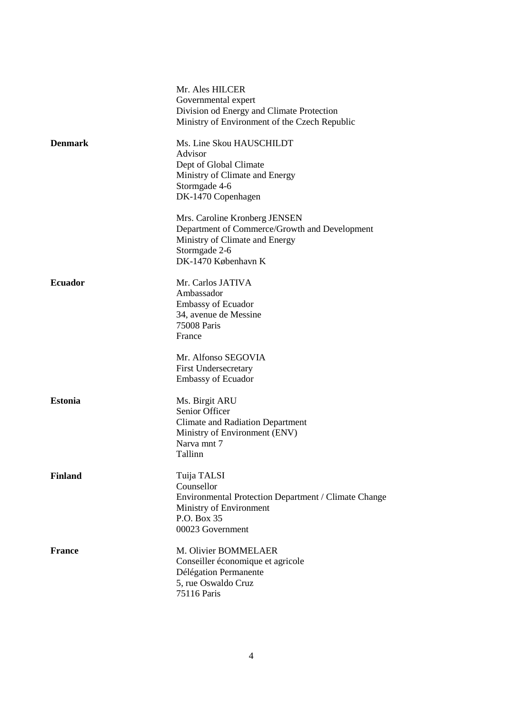|                | Mr. Ales HILCER                                      |
|----------------|------------------------------------------------------|
|                | Governmental expert                                  |
|                | Division od Energy and Climate Protection            |
|                | Ministry of Environment of the Czech Republic        |
| <b>Denmark</b> | Ms. Line Skou HAUSCHILDT                             |
|                | Advisor                                              |
|                | Dept of Global Climate                               |
|                | Ministry of Climate and Energy                       |
|                | Stormgade 4-6                                        |
|                | DK-1470 Copenhagen                                   |
|                | Mrs. Caroline Kronberg JENSEN                        |
|                | Department of Commerce/Growth and Development        |
|                | Ministry of Climate and Energy                       |
|                | Stormgade 2-6                                        |
|                | DK-1470 København K                                  |
| <b>Ecuador</b> | Mr. Carlos JATIVA                                    |
|                | Ambassador                                           |
|                | <b>Embassy of Ecuador</b>                            |
|                | 34, avenue de Messine                                |
|                | 75008 Paris                                          |
|                | France                                               |
|                |                                                      |
|                | Mr. Alfonso SEGOVIA                                  |
|                | <b>First Undersecretary</b>                          |
|                | <b>Embassy of Ecuador</b>                            |
| <b>Estonia</b> | Ms. Birgit ARU                                       |
|                | Senior Officer                                       |
|                | <b>Climate and Radiation Department</b>              |
|                | Ministry of Environment (ENV)                        |
|                | Narva mnt 7                                          |
|                | Tallinn                                              |
| <b>Finland</b> | Tuija TALSI                                          |
|                | Counsellor                                           |
|                | Environmental Protection Department / Climate Change |
|                | Ministry of Environment                              |
|                | P.O. Box 35                                          |
|                | 00023 Government                                     |
| <b>France</b>  | M. Olivier BOMMELAER                                 |
|                | Conseiller économique et agricole                    |
|                | Délégation Permanente                                |
|                | 5, rue Oswaldo Cruz                                  |
|                | 75116 Paris                                          |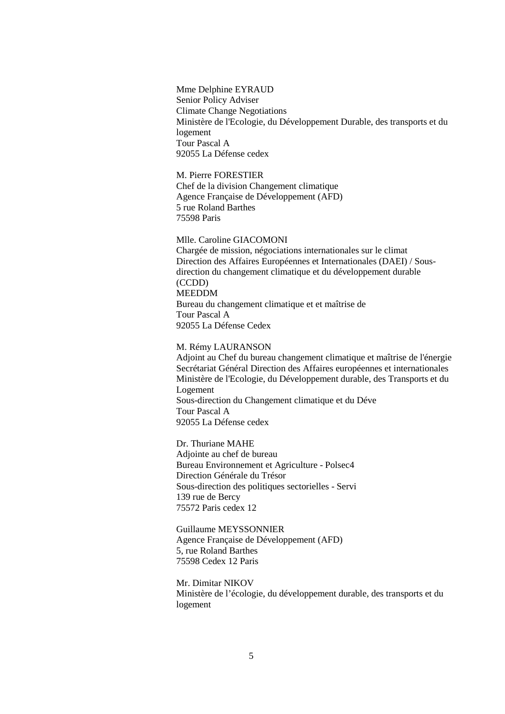Mme Delphine EYRAUD Senior Policy Adviser Climate Change Negotiations Ministère de l'Ecologie, du Développement Durable, des transports et du logement Tour Pascal A 92055 La Défense cedex

#### M. Pierre FORESTIER

Chef de la division Changement climatique Agence Française de Développement (AFD) 5 rue Roland Barthes 75598 Paris

#### Mlle. Caroline GIACOMONI

Chargée de mission, négociations internationales sur le climat Direction des Affaires Européennes et Internationales (DAEI) / Sousdirection du changement climatique et du développement durable (CCDD) MEEDDM Bureau du changement climatique et et maîtrise de Tour Pascal A 92055 La Défense Cedex

#### M. Rémy LAURANSON

Adjoint au Chef du bureau changement climatique et maîtrise de l'énergie Secrétariat Général Direction des Affaires européennes et internationales Ministère de l'Ecologie, du Développement durable, des Transports et du Logement Sous-direction du Changement climatique et du Déve Tour Pascal A 92055 La Défense cedex

Dr. Thuriane MAHE Adjointe au chef de bureau Bureau Environnement et Agriculture - Polsec4 Direction Générale du Trésor Sous-direction des politiques sectorielles - Servi 139 rue de Bercy 75572 Paris cedex 12

Guillaume MEYSSONNIER Agence Française de Développement (AFD) 5, rue Roland Barthes 75598 Cedex 12 Paris

Mr. Dimitar NIKOV Ministère de l'écologie, du développement durable, des transports et du logement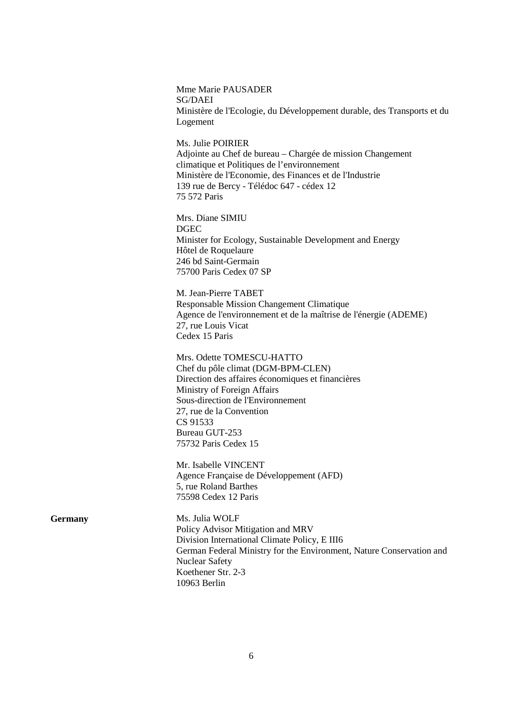Mme Marie PAUSADER SG/DAEI Ministère de l'Ecologie, du Développement durable, des Transports et du Logement

Ms. Julie POIRIER Adjointe au Chef de bureau – Chargée de mission Changement climatique et Politiques de l'environnement Ministère de l'Economie, des Finances et de l'Industrie 139 rue de Bercy - Télédoc 647 - cédex 12 75 572 Paris

Mrs. Diane SIMIU DGEC Minister for Ecology, Sustainable Development and Energy Hôtel de Roquelaure 246 bd Saint-Germain 75700 Paris Cedex 07 SP

M. Jean-Pierre TABET Responsable Mission Changement Climatique Agence de l'environnement et de la maîtrise de l'énergie (ADEME) 27, rue Louis Vicat Cedex 15 Paris

Mrs. Odette TOMESCU-HATTO Chef du pôle climat (DGM-BPM-CLEN) Direction des affaires économiques et financières Ministry of Foreign Affairs Sous-direction de l'Environnement 27, rue de la Convention CS 91533 Bureau GUT-253 75732 Paris Cedex 15

Mr. Isabelle VINCENT Agence Française de Développement (AFD) 5, rue Roland Barthes 75598 Cedex 12 Paris

**Germany** Ms. Julia WOLF Policy Advisor Mitigation and MRV Division International Climate Policy, E III6 German Federal Ministry for the Environment, Nature Conservation and Nuclear Safety Koethener Str. 2-3 10963 Berlin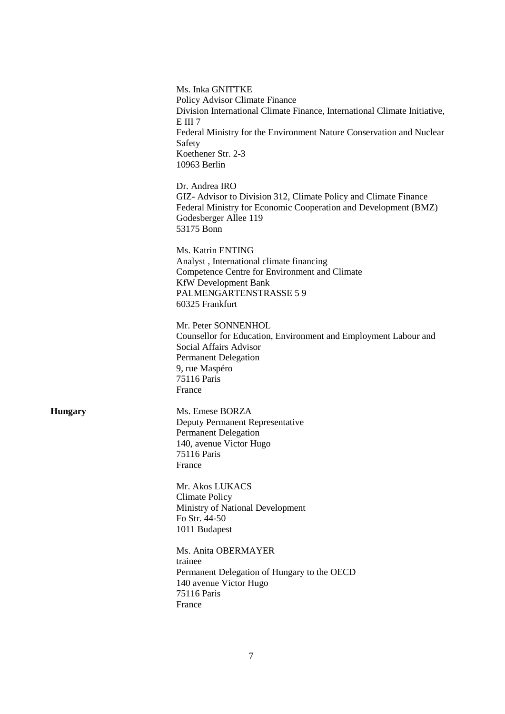| Ms. Inka GNITTKE<br>Policy Advisor Climate Finance<br>Division International Climate Finance, International Climate Initiative,<br>EIII7<br>Federal Ministry for the Environment Nature Conservation and Nuclear<br>Safety<br>Koethener Str. 2-3<br>10963 Berlin |
|------------------------------------------------------------------------------------------------------------------------------------------------------------------------------------------------------------------------------------------------------------------|
| Dr. Andrea IRO<br>GIZ- Advisor to Division 312, Climate Policy and Climate Finance<br>Federal Ministry for Economic Cooperation and Development (BMZ)<br>Godesberger Allee 119<br>53175 Bonn                                                                     |
| Ms. Katrin ENTING<br>Analyst, International climate financing<br>Competence Centre for Environment and Climate<br><b>KfW</b> Development Bank<br>PALMENGARTENSTRASSE 5 9<br>60325 Frankfurt                                                                      |
| Mr. Peter SONNENHOL<br>Counsellor for Education, Environment and Employment Labour and<br>Social Affairs Advisor<br><b>Permanent Delegation</b><br>9, rue Maspéro<br>75116 Paris<br>France                                                                       |
| Ms. Emese BORZA<br>Deputy Permanent Representative<br>Permanent Delegation<br>140, avenue Victor Hugo<br><b>75116 Paris</b><br>France                                                                                                                            |
| Mr. Akos LUKACS<br><b>Climate Policy</b><br>Ministry of National Development<br>Fo Str. 44-50<br>1011 Budapest                                                                                                                                                   |
| Ms. Anita OBERMAYER<br>trainee<br>Permanent Delegation of Hungary to the OECD<br>140 avenue Victor Hugo<br>75116 Paris<br>France                                                                                                                                 |

**Hungary**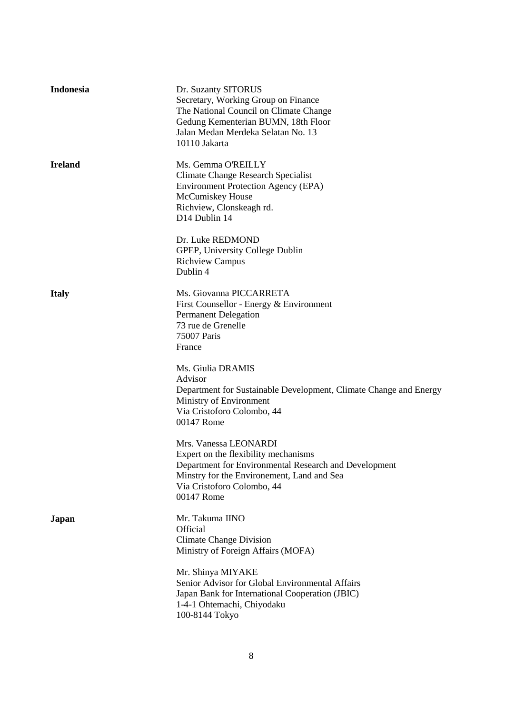| Indonesia      | Dr. Suzanty SITORUS<br>Secretary, Working Group on Finance<br>The National Council on Climate Change<br>Gedung Kementerian BUMN, 18th Floor<br>Jalan Medan Merdeka Selatan No. 13<br>10110 Jakarta               |
|----------------|------------------------------------------------------------------------------------------------------------------------------------------------------------------------------------------------------------------|
| <b>Ireland</b> | Ms. Gemma O'REILLY<br><b>Climate Change Research Specialist</b><br><b>Environment Protection Agency (EPA)</b><br>McCumiskey House<br>Richview, Clonskeagh rd.<br>D14 Dublin 14                                   |
|                | Dr. Luke REDMOND<br>GPEP, University College Dublin<br><b>Richview Campus</b><br>Dublin 4                                                                                                                        |
| <b>Italy</b>   | Ms. Giovanna PICCARRETA<br>First Counsellor - Energy & Environment<br><b>Permanent Delegation</b><br>73 rue de Grenelle<br>75007 Paris<br>France                                                                 |
|                | Ms. Giulia DRAMIS<br>Advisor<br>Department for Sustainable Development, Climate Change and Energy<br>Ministry of Environment<br>Via Cristoforo Colombo, 44<br>00147 Rome                                         |
|                | Mrs. Vanessa LEONARDI<br>Expert on the flexibility mechanisms<br>Department for Environmental Research and Development<br>Minstry for the Environement, Land and Sea<br>Via Cristoforo Colombo, 44<br>00147 Rome |
| Japan          | Mr. Takuma IINO<br><b>Official</b><br><b>Climate Change Division</b><br>Ministry of Foreign Affairs (MOFA)                                                                                                       |
|                | Mr. Shinya MIYAKE<br>Senior Advisor for Global Environmental Affairs<br>Japan Bank for International Cooperation (JBIC)<br>1-4-1 Ohtemachi, Chiyodaku<br>100-8144 Tokyo                                          |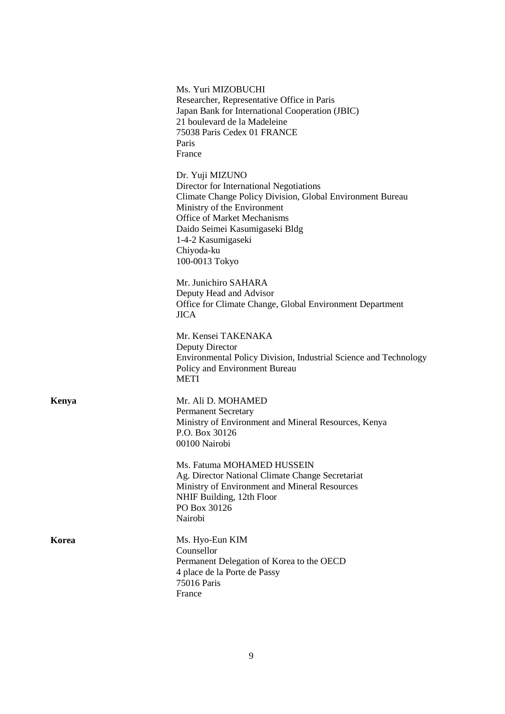|       | Ms. Yuri MIZOBUCHI<br>Researcher, Representative Office in Paris<br>Japan Bank for International Cooperation (JBIC)<br>21 boulevard de la Madeleine<br>75038 Paris Cedex 01 FRANCE<br>Paris<br>France                                                                         |
|-------|-------------------------------------------------------------------------------------------------------------------------------------------------------------------------------------------------------------------------------------------------------------------------------|
|       | Dr. Yuji MIZUNO<br>Director for International Negotiations<br>Climate Change Policy Division, Global Environment Bureau<br>Ministry of the Environment<br>Office of Market Mechanisms<br>Daido Seimei Kasumigaseki Bldg<br>1-4-2 Kasumigaseki<br>Chiyoda-ku<br>100-0013 Tokyo |
|       | Mr. Junichiro SAHARA<br>Deputy Head and Advisor<br>Office for Climate Change, Global Environment Department<br><b>JICA</b>                                                                                                                                                    |
|       | Mr. Kensei TAKENAKA<br>Deputy Director<br>Environmental Policy Division, Industrial Science and Technology<br>Policy and Environment Bureau<br><b>METI</b>                                                                                                                    |
| Kenya | Mr. Ali D. MOHAMED<br><b>Permanent Secretary</b><br>Ministry of Environment and Mineral Resources, Kenya<br>P.O. Box 30126<br>00100 Nairobi                                                                                                                                   |
|       | Ms. Fatuma MOHAMED HUSSEIN<br>Ag. Director National Climate Change Secretariat<br>Ministry of Environment and Mineral Resources<br>NHIF Building, 12th Floor<br>PO Box 30126<br>Nairobi                                                                                       |
| Korea | Ms. Hyo-Eun KIM<br>Counsellor<br>Permanent Delegation of Korea to the OECD<br>4 place de la Porte de Passy<br>75016 Paris<br>France                                                                                                                                           |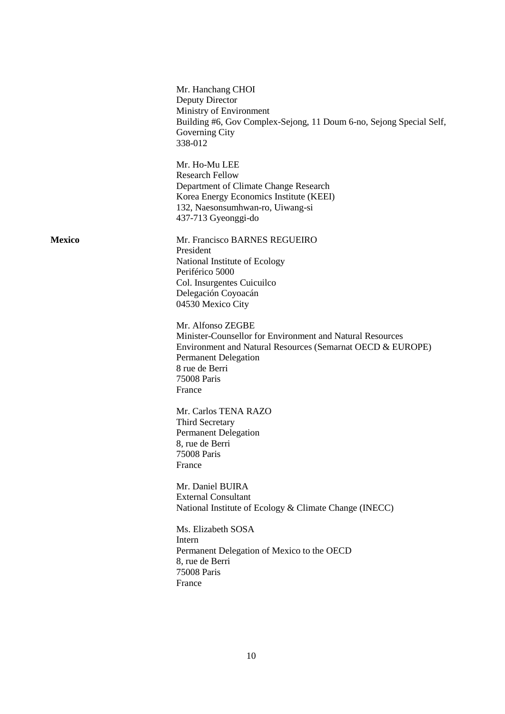|               | Mr. Hanchang CHOI<br>Deputy Director<br>Ministry of Environment<br>Building #6, Gov Complex-Sejong, 11 Doum 6-no, Sejong Special Self,<br>Governing City<br>338-012                                                    |
|---------------|------------------------------------------------------------------------------------------------------------------------------------------------------------------------------------------------------------------------|
|               | Mr. Ho-Mu LEE<br><b>Research Fellow</b><br>Department of Climate Change Research<br>Korea Energy Economics Institute (KEEI)<br>132, Naesonsumhwan-ro, Uiwang-si<br>437-713 Gyeonggi-do                                 |
| <b>Mexico</b> | Mr. Francisco BARNES REGUEIRO<br>President<br>National Institute of Ecology<br>Periférico 5000<br>Col. Insurgentes Cuicuilco<br>Delegación Coyoacán<br>04530 Mexico City                                               |
|               | Mr. Alfonso ZEGBE<br>Minister-Counsellor for Environment and Natural Resources<br>Environment and Natural Resources (Semarnat OECD & EUROPE)<br><b>Permanent Delegation</b><br>8 rue de Berri<br>75008 Paris<br>France |
|               | Mr. Carlos TENA RAZO<br>Third Secretary<br><b>Permanent Delegation</b><br>8, rue de Berri<br>75008 Paris<br>France                                                                                                     |
|               | Mr. Daniel BUIRA<br><b>External Consultant</b><br>National Institute of Ecology & Climate Change (INECC)                                                                                                               |
|               | Ms. Elizabeth SOSA<br>Intern<br>Permanent Delegation of Mexico to the OECD<br>8, rue de Berri<br>75008 Paris<br>France                                                                                                 |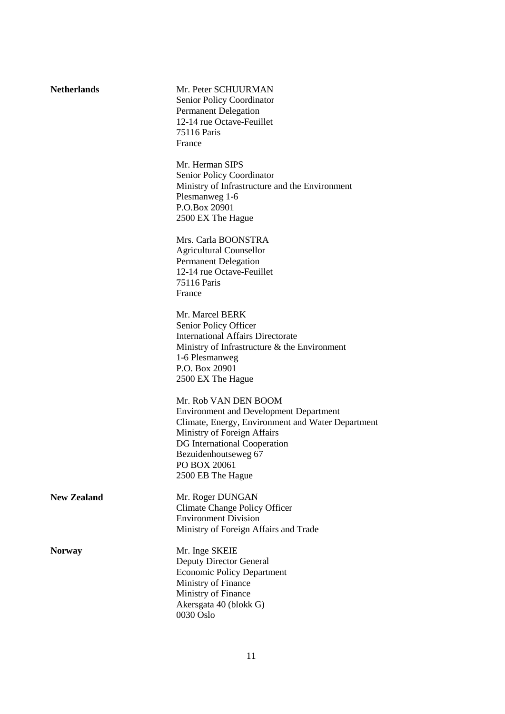| <b>Netherlands</b> | Mr. Peter SCHUURMAN<br>Senior Policy Coordinator<br><b>Permanent Delegation</b><br>12-14 rue Octave-Feuillet<br><b>75116 Paris</b><br>France                                                                                                           |
|--------------------|--------------------------------------------------------------------------------------------------------------------------------------------------------------------------------------------------------------------------------------------------------|
|                    | Mr. Herman SIPS<br><b>Senior Policy Coordinator</b><br>Ministry of Infrastructure and the Environment<br>Plesmanweg 1-6<br>P.O.Box 20901<br>2500 EX The Hague                                                                                          |
|                    | Mrs. Carla BOONSTRA<br><b>Agricultural Counsellor</b><br><b>Permanent Delegation</b><br>12-14 rue Octave-Feuillet<br>75116 Paris<br>France                                                                                                             |
|                    | Mr. Marcel BERK<br>Senior Policy Officer<br><b>International Affairs Directorate</b><br>Ministry of Infrastructure $\&$ the Environment<br>1-6 Plesmanweg<br>P.O. Box 20901<br>2500 EX The Hague                                                       |
|                    | Mr. Rob VAN DEN BOOM<br><b>Environment and Development Department</b><br>Climate, Energy, Environment and Water Department<br>Ministry of Foreign Affairs<br>DG International Cooperation<br>Bezuidenhoutseweg 67<br>PO BOX 20061<br>2500 EB The Hague |
| <b>New Zealand</b> | Mr. Roger DUNGAN<br>Climate Change Policy Officer<br><b>Environment Division</b><br>Ministry of Foreign Affairs and Trade                                                                                                                              |
| <b>Norway</b>      | Mr. Inge SKEIE<br><b>Deputy Director General</b><br><b>Economic Policy Department</b><br>Ministry of Finance<br>Ministry of Finance<br>Akersgata 40 (blokk G)<br>0030 Oslo                                                                             |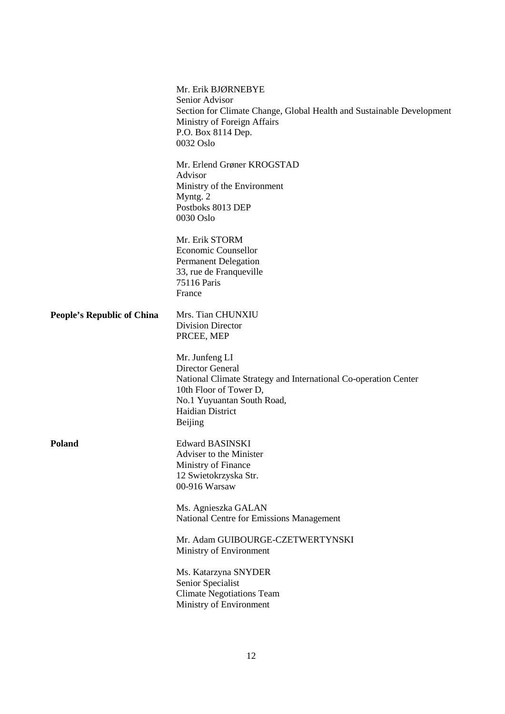|                                   | Mr. Erik BJØRNEBYE<br>Senior Advisor<br>Section for Climate Change, Global Health and Sustainable Development<br>Ministry of Foreign Affairs<br>P.O. Box 8114 Dep.<br>0032 Oslo                            |
|-----------------------------------|------------------------------------------------------------------------------------------------------------------------------------------------------------------------------------------------------------|
|                                   | Mr. Erlend Grøner KROGSTAD<br>Advisor<br>Ministry of the Environment<br>Myntg. 2<br>Postboks 8013 DEP<br>0030 Oslo                                                                                         |
|                                   | Mr. Erik STORM<br><b>Economic Counsellor</b><br><b>Permanent Delegation</b><br>33, rue de Franqueville<br>75116 Paris<br>France                                                                            |
| <b>People's Republic of China</b> | Mrs. Tian CHUNXIU<br><b>Division Director</b><br>PRCEE, MEP                                                                                                                                                |
|                                   | Mr. Junfeng LI<br><b>Director General</b><br>National Climate Strategy and International Co-operation Center<br>10th Floor of Tower D,<br>No.1 Yuyuantan South Road,<br>Haidian District<br><b>Beijing</b> |
| Poland                            | <b>Edward BASINSKI</b><br>Adviser to the Minister<br>Ministry of Finance<br>12 Swietokrzyska Str.<br>00-916 Warsaw                                                                                         |
|                                   | Ms. Agnieszka GALAN<br>National Centre for Emissions Management                                                                                                                                            |
|                                   | Mr. Adam GUIBOURGE-CZETWERTYNSKI<br>Ministry of Environment                                                                                                                                                |
|                                   | Ms. Katarzyna SNYDER<br>Senior Specialist<br><b>Climate Negotiations Team</b><br>Ministry of Environment                                                                                                   |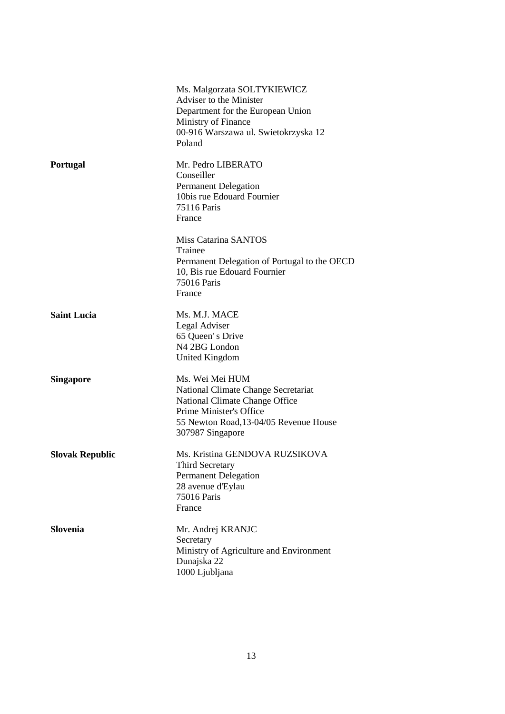|                        | Ms. Malgorzata SOLTYKIEWICZ<br>Adviser to the Minister<br>Department for the European Union<br>Ministry of Finance<br>00-916 Warszawa ul. Swietokrzyska 12<br>Poland              |
|------------------------|-----------------------------------------------------------------------------------------------------------------------------------------------------------------------------------|
| <b>Portugal</b>        | Mr. Pedro LIBERATO<br>Conseiller<br><b>Permanent Delegation</b><br>10bis rue Edouard Fournier<br>75116 Paris<br>France                                                            |
|                        | Miss Catarina SANTOS<br>Trainee<br>Permanent Delegation of Portugal to the OECD<br>10, Bis rue Edouard Fournier<br>75016 Paris<br>France                                          |
| <b>Saint Lucia</b>     | Ms. M.J. MACE<br>Legal Adviser<br>65 Queen's Drive<br>N4 2BG London<br><b>United Kingdom</b>                                                                                      |
| <b>Singapore</b>       | Ms. Wei Mei HUM<br>National Climate Change Secretariat<br>National Climate Change Office<br>Prime Minister's Office<br>55 Newton Road, 13-04/05 Revenue House<br>307987 Singapore |
| <b>Slovak Republic</b> | Ms. Kristina GENDOVA RUZSIKOVA<br>Third Secretary<br><b>Permanent Delegation</b><br>28 avenue d'Eylau<br>75016 Paris<br>France                                                    |
| <b>Slovenia</b>        | Mr. Andrej KRANJC<br>Secretary<br>Ministry of Agriculture and Environment<br>Dunajska 22<br>1000 Ljubljana                                                                        |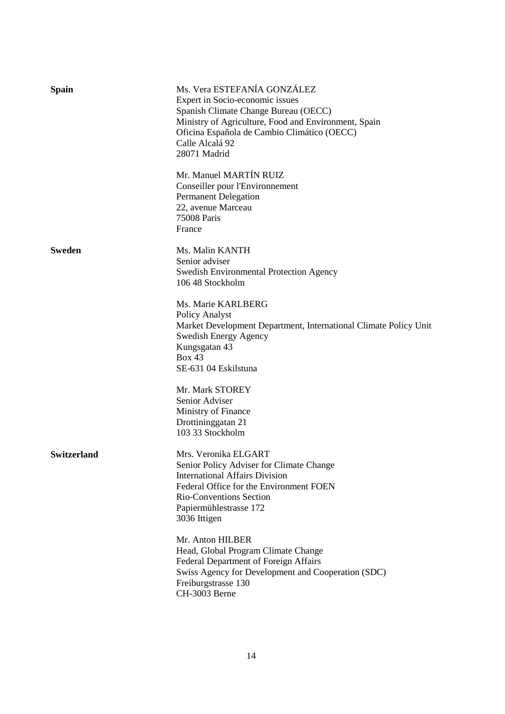| Spain         | Ms. Vera ESTEFANÍA GONZÁLEZ<br>Expert in Socio-economic issues<br>Spanish Climate Change Bureau (OECC)<br>Ministry of Agriculture, Food and Environment, Spain<br>Oficina Española de Cambio Climático (OECC)<br>Calle Alcalá 92<br>28071 Madrid |
|---------------|--------------------------------------------------------------------------------------------------------------------------------------------------------------------------------------------------------------------------------------------------|
|               | Mr. Manuel MARTÍN RUIZ<br>Conseiller pour l'Environnement<br><b>Permanent Delegation</b><br>22, avenue Marceau<br>75008 Paris<br>France                                                                                                          |
| <b>Sweden</b> | Ms. Malin KANTH<br>Senior adviser<br><b>Swedish Environmental Protection Agency</b><br>106 48 Stockholm                                                                                                                                          |
|               | Ms. Marie KARLBERG<br>Policy Analyst<br>Market Development Department, International Climate Policy Unit<br><b>Swedish Energy Agency</b><br>Kungsgatan 43<br>Box 43<br>SE-631 04 Eskilstuna                                                      |
|               | Mr. Mark STOREY<br>Senior Adviser<br>Ministry of Finance<br>Drottininggatan 21<br>103 33 Stockholm                                                                                                                                               |
| Switzerland   | Mrs. Veronika ELGART<br>Senior Policy Adviser for Climate Change<br><b>International Affairs Division</b><br>Federal Office for the Environment FOEN<br>Rio-Conventions Section<br>Papiermühlestrasse 172<br>3036 Ittigen                        |
|               | Mr. Anton HILBER<br>Head, Global Program Climate Change<br>Federal Department of Foreign Affairs<br>Swiss Agency for Development and Cooperation (SDC)<br>Freiburgstrasse 130<br>CH-3003 Berne                                                   |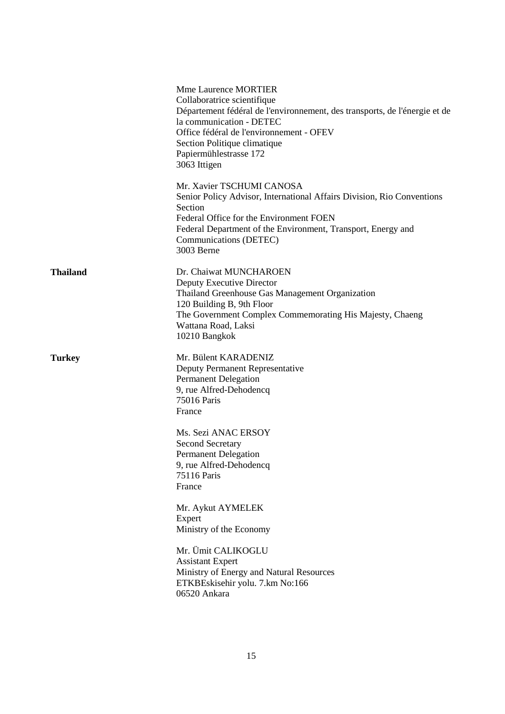|                 | <b>Mme Laurence MORTIER</b><br>Collaboratrice scientifique<br>Département fédéral de l'environnement, des transports, de l'énergie et de<br>la communication - DETEC<br>Office fédéral de l'environnement - OFEV<br>Section Politique climatique<br>Papiermühlestrasse 172<br>3063 Ittigen |
|-----------------|--------------------------------------------------------------------------------------------------------------------------------------------------------------------------------------------------------------------------------------------------------------------------------------------|
|                 | Mr. Xavier TSCHUMI CANOSA<br>Senior Policy Advisor, International Affairs Division, Rio Conventions<br>Section<br>Federal Office for the Environment FOEN<br>Federal Department of the Environment, Transport, Energy and<br>Communications (DETEC)<br>3003 Berne                          |
| <b>Thailand</b> | Dr. Chaiwat MUNCHAROEN<br>Deputy Executive Director<br>Thailand Greenhouse Gas Management Organization<br>120 Building B, 9th Floor<br>The Government Complex Commemorating His Majesty, Chaeng<br>Wattana Road, Laksi<br>10210 Bangkok                                                    |
| <b>Turkey</b>   | Mr. Bülent KARADENIZ<br>Deputy Permanent Representative<br><b>Permanent Delegation</b><br>9, rue Alfred-Dehodencq<br>75016 Paris<br>France                                                                                                                                                 |
|                 | Ms. Sezi ANAC ERSOY<br><b>Second Secretary</b><br><b>Permanent Delegation</b><br>9, rue Alfred-Dehodencq<br>75116 Paris<br>France                                                                                                                                                          |
|                 | Mr. Aykut AYMELEK<br>Expert<br>Ministry of the Economy                                                                                                                                                                                                                                     |
|                 | Mr. Ümit CALIKOGLU<br><b>Assistant Expert</b><br>Ministry of Energy and Natural Resources<br>ETKBEskisehir yolu. 7.km No:166<br>06520 Ankara                                                                                                                                               |
|                 |                                                                                                                                                                                                                                                                                            |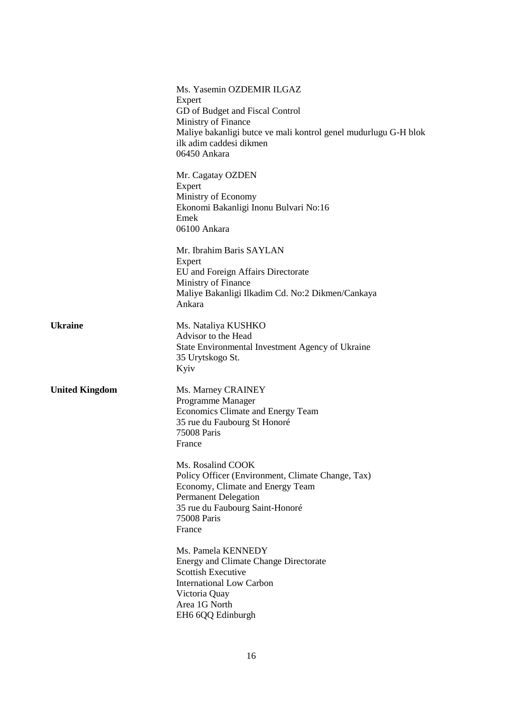|                       | Ms. Yasemin OZDEMIR ILGAZ<br>Expert<br>GD of Budget and Fiscal Control<br>Ministry of Finance<br>Maliye bakanligi butce ve mali kontrol genel mudurlugu G-H blok<br>ilk adim caddesi dikmen<br>06450 Ankara |
|-----------------------|-------------------------------------------------------------------------------------------------------------------------------------------------------------------------------------------------------------|
|                       | Mr. Cagatay OZDEN<br>Expert<br>Ministry of Economy<br>Ekonomi Bakanligi Inonu Bulvari No:16<br>Emek<br>06100 Ankara                                                                                         |
|                       | Mr. Ibrahim Baris SAYLAN<br>Expert<br>EU and Foreign Affairs Directorate<br>Ministry of Finance<br>Maliye Bakanligi Ilkadim Cd. No:2 Dikmen/Cankaya<br>Ankara                                               |
| <b>Ukraine</b>        | Ms. Nataliya KUSHKO<br>Advisor to the Head<br>State Environmental Investment Agency of Ukraine<br>35 Urytskogo St.<br>Kyiv                                                                                  |
| <b>United Kingdom</b> | Ms. Marney CRAINEY<br>Programme Manager<br>Economics Climate and Energy Team<br>35 rue du Faubourg St Honoré<br>75008 Paris<br>France                                                                       |
|                       | Ms. Rosalind COOK<br>Policy Officer (Environment, Climate Change, Tax)<br>Economy, Climate and Energy Team<br><b>Permanent Delegation</b><br>35 rue du Faubourg Saint-Honoré<br>75008 Paris<br>France       |
|                       | Ms. Pamela KENNEDY<br><b>Energy and Climate Change Directorate</b><br><b>Scottish Executive</b><br><b>International Low Carbon</b><br>Victoria Quay<br>Area 1G North<br>EH6 6QQ Edinburgh                   |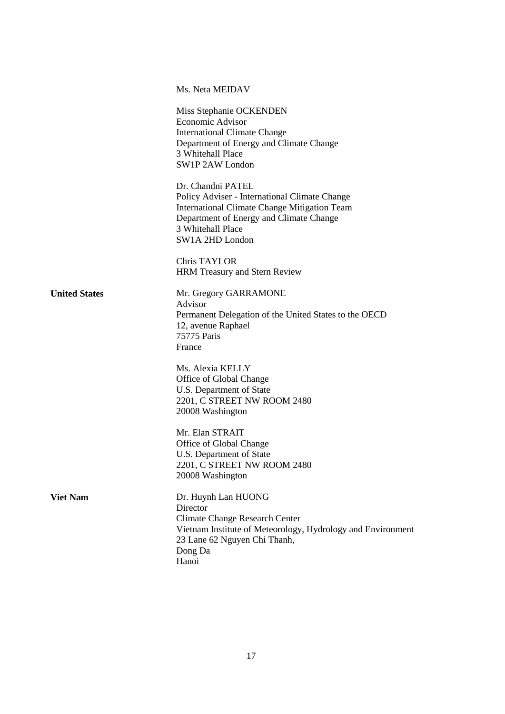|                      | Ms. Neta MEIDAV                                                                                                                                                                                              |
|----------------------|--------------------------------------------------------------------------------------------------------------------------------------------------------------------------------------------------------------|
|                      | Miss Stephanie OCKENDEN<br>Economic Advisor<br><b>International Climate Change</b><br>Department of Energy and Climate Change<br>3 Whitehall Place<br>SW1P 2AW London                                        |
|                      | Dr. Chandni PATEL<br>Policy Adviser - International Climate Change<br><b>International Climate Change Mitigation Team</b><br>Department of Energy and Climate Change<br>3 Whitehall Place<br>SW1A 2HD London |
|                      | Chris TAYLOR<br><b>HRM</b> Treasury and Stern Review                                                                                                                                                         |
| <b>United States</b> | Mr. Gregory GARRAMONE<br>Advisor<br>Permanent Delegation of the United States to the OECD<br>12, avenue Raphael<br>75775 Paris<br>France                                                                     |
|                      | Ms. Alexia KELLY<br>Office of Global Change<br>U.S. Department of State<br>2201, C STREET NW ROOM 2480<br>20008 Washington                                                                                   |
|                      | Mr. Elan STRAIT<br>Office of Global Change<br>U.S. Department of State<br>2201, C STREET NW ROOM 2480<br>20008 Washington                                                                                    |
| <b>Viet Nam</b>      | Dr. Huynh Lan HUONG<br>Director<br><b>Climate Change Research Center</b><br>Vietnam Institute of Meteorology, Hydrology and Environment<br>23 Lane 62 Nguyen Chi Thanh,<br>Dong Da<br>Hanoi                  |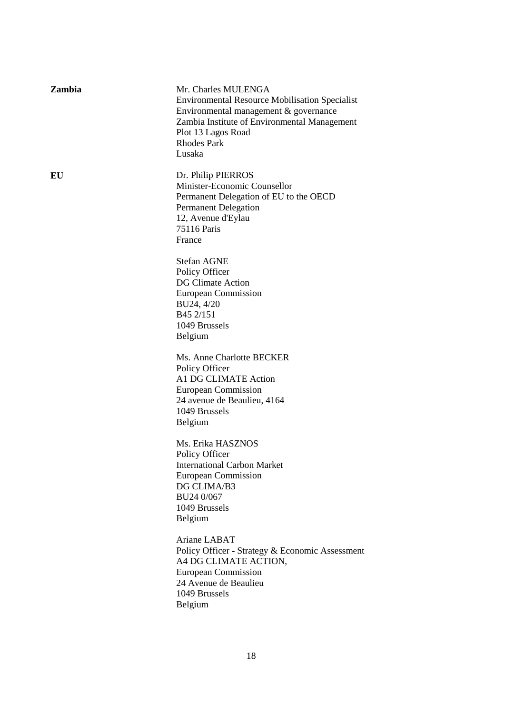| <b>Zambia</b> | Mr. Charles MULENGA<br><b>Environmental Resource Mobilisation Specialist</b><br>Environmental management & governance<br>Zambia Institute of Environmental Management<br>Plot 13 Lagos Road<br><b>Rhodes Park</b><br>Lusaka |
|---------------|-----------------------------------------------------------------------------------------------------------------------------------------------------------------------------------------------------------------------------|
| EU            | Dr. Philip PIERROS<br>Minister-Economic Counsellor<br>Permanent Delegation of EU to the OECD<br><b>Permanent Delegation</b><br>12, Avenue d'Eylau<br>75116 Paris<br>France                                                  |
|               | <b>Stefan AGNE</b><br>Policy Officer<br>DG Climate Action<br><b>European Commission</b><br>BU24, 4/20<br>B45 2/151<br>1049 Brussels<br>Belgium                                                                              |
|               | Ms. Anne Charlotte BECKER<br>Policy Officer<br>A1 DG CLIMATE Action<br>European Commission<br>24 avenue de Beaulieu, 4164<br>1049 Brussels<br>Belgium                                                                       |
|               | Ms. Erika HASZNOS<br>Policy Officer<br><b>International Carbon Market</b><br><b>European Commission</b><br>DG CLIMA/B3<br>BU24 0/067<br>1049 Brussels<br>Belgium                                                            |
|               | Ariane LABAT<br>Policy Officer - Strategy & Economic Assessment<br>A4 DG CLIMATE ACTION,<br>European Commission<br>24 Avenue de Beaulieu<br>1049 Brussels<br>Belgium                                                        |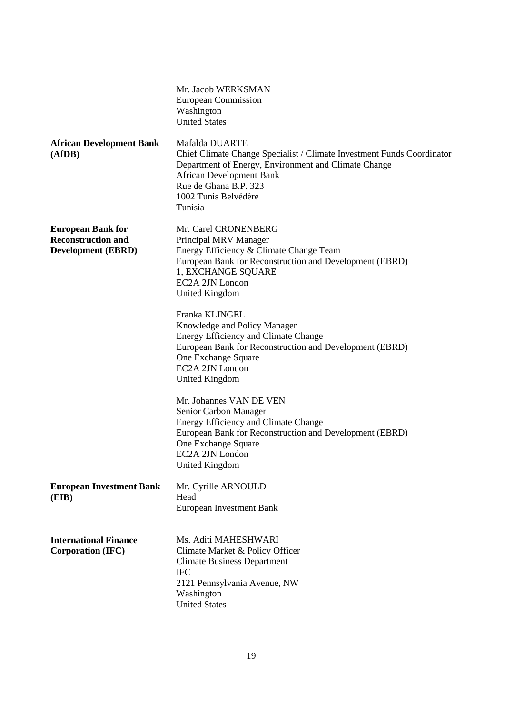|                                                                                    | Mr. Jacob WERKSMAN<br>European Commission<br>Washington<br><b>United States</b>                                                                                                                                                                 |
|------------------------------------------------------------------------------------|-------------------------------------------------------------------------------------------------------------------------------------------------------------------------------------------------------------------------------------------------|
| <b>African Development Bank</b><br>(AfDB)                                          | Mafalda DUARTE<br>Chief Climate Change Specialist / Climate Investment Funds Coordinator<br>Department of Energy, Environment and Climate Change<br><b>African Development Bank</b><br>Rue de Ghana B.P. 323<br>1002 Tunis Belvédère<br>Tunisia |
| <b>European Bank for</b><br><b>Reconstruction and</b><br><b>Development (EBRD)</b> | Mr. Carel CRONENBERG<br>Principal MRV Manager<br>Energy Efficiency & Climate Change Team<br>European Bank for Reconstruction and Development (EBRD)<br>1, EXCHANGE SQUARE<br>EC2A 2JN London<br><b>United Kingdom</b>                           |
|                                                                                    | Franka KLINGEL<br>Knowledge and Policy Manager<br>Energy Efficiency and Climate Change<br>European Bank for Reconstruction and Development (EBRD)<br>One Exchange Square<br>EC2A 2JN London<br><b>United Kingdom</b>                            |
|                                                                                    | Mr. Johannes VAN DE VEN<br>Senior Carbon Manager<br>Energy Efficiency and Climate Change<br>European Bank for Reconstruction and Development (EBRD)<br>One Exchange Square<br>EC2A 2JN London<br><b>United Kingdom</b>                          |
| <b>European Investment Bank</b><br>(EIB)                                           | Mr. Cyrille ARNOULD<br>Head<br>European Investment Bank                                                                                                                                                                                         |
| <b>International Finance</b><br>Corporation (IFC)                                  | Ms. Aditi MAHESHWARI<br>Climate Market & Policy Officer<br><b>Climate Business Department</b><br><b>IFC</b><br>2121 Pennsylvania Avenue, NW<br>Washington<br><b>United States</b>                                                               |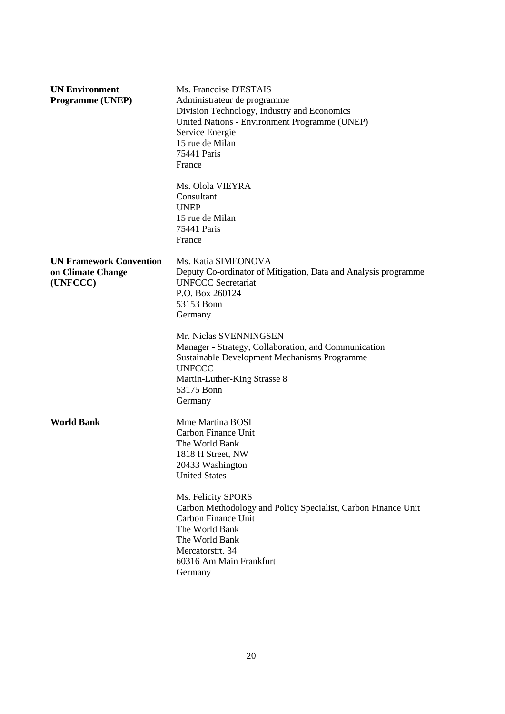| <b>UN Environment</b><br><b>Programme (UNEP)</b>                | Ms. Francoise D'ESTAIS<br>Administrateur de programme<br>Division Technology, Industry and Economics<br>United Nations - Environment Programme (UNEP)<br>Service Energie<br>15 rue de Milan<br>75441 Paris<br>France |
|-----------------------------------------------------------------|----------------------------------------------------------------------------------------------------------------------------------------------------------------------------------------------------------------------|
|                                                                 | Ms. Olola VIEYRA<br>Consultant<br><b>UNEP</b><br>15 rue de Milan<br>75441 Paris<br>France                                                                                                                            |
| <b>UN Framework Convention</b><br>on Climate Change<br>(UNFCCC) | Ms. Katia SIMEONOVA<br>Deputy Co-ordinator of Mitigation, Data and Analysis programme<br><b>UNFCCC Secretariat</b><br>P.O. Box 260124<br>53153 Bonn<br>Germany                                                       |
|                                                                 | Mr. Niclas SVENNINGSEN<br>Manager - Strategy, Collaboration, and Communication<br>Sustainable Development Mechanisms Programme<br><b>UNFCCC</b><br>Martin-Luther-King Strasse 8<br>53175 Bonn<br>Germany             |
| <b>World Bank</b>                                               | Mme Martina BOSI<br>Carbon Finance Unit<br>The World Bank<br>1818 H Street, NW<br>20433 Washington<br><b>United States</b>                                                                                           |
|                                                                 | Ms. Felicity SPORS<br>Carbon Methodology and Policy Specialist, Carbon Finance Unit<br>Carbon Finance Unit<br>The World Bank<br>The World Bank<br>Mercatorstrt. 34<br>60316 Am Main Frankfurt<br>Germany             |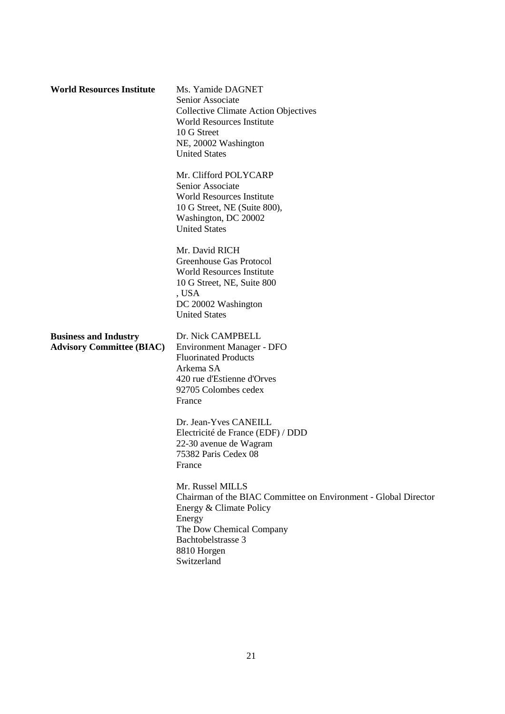| <b>World Resources Institute</b>                                 | Ms. Yamide DAGNET<br>Senior Associate<br><b>Collective Climate Action Objectives</b><br>World Resources Institute<br>10 G Street<br>NE, 20002 Washington<br><b>United States</b>                         |
|------------------------------------------------------------------|----------------------------------------------------------------------------------------------------------------------------------------------------------------------------------------------------------|
|                                                                  | Mr. Clifford POLYCARP<br>Senior Associate<br><b>World Resources Institute</b><br>10 G Street, NE (Suite 800),<br>Washington, DC 20002<br><b>United States</b>                                            |
|                                                                  | Mr. David RICH<br>Greenhouse Gas Protocol<br><b>World Resources Institute</b><br>10 G Street, NE, Suite 800<br>, USA<br>DC 20002 Washington<br><b>United States</b>                                      |
| <b>Business and Industry</b><br><b>Advisory Committee (BIAC)</b> | Dr. Nick CAMPBELL<br><b>Environment Manager - DFO</b><br><b>Fluorinated Products</b><br>Arkema SA<br>420 rue d'Estienne d'Orves<br>92705 Colombes cedex<br>France                                        |
|                                                                  | Dr. Jean-Yves CANEILL<br>Electricité de France (EDF) / DDD<br>22-30 avenue de Wagram<br>75382 Paris Cedex 08<br>France                                                                                   |
|                                                                  | Mr. Russel MILLS<br>Chairman of the BIAC Committee on Environment - Global Director<br>Energy & Climate Policy<br>Energy<br>The Dow Chemical Company<br>Bachtobelstrasse 3<br>8810 Horgen<br>Switzerland |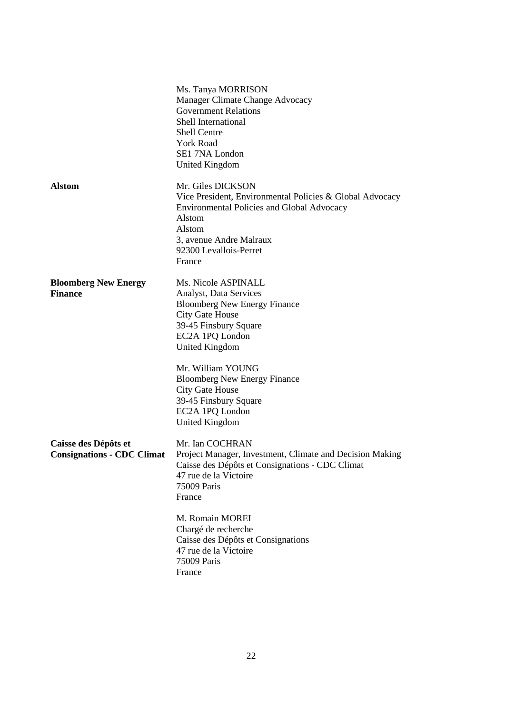|                                                           | Ms. Tanya MORRISON<br>Manager Climate Change Advocacy<br><b>Government Relations</b><br>Shell International<br><b>Shell Centre</b><br><b>York Road</b><br>SE1 7NA London<br><b>United Kingdom</b>                                               |
|-----------------------------------------------------------|-------------------------------------------------------------------------------------------------------------------------------------------------------------------------------------------------------------------------------------------------|
| <b>Alstom</b>                                             | Mr. Giles DICKSON<br>Vice President, Environmental Policies & Global Advocacy<br><b>Environmental Policies and Global Advocacy</b><br>Alstom<br>Alstom<br>3, avenue Andre Malraux<br>92300 Levallois-Perret<br>France                           |
| <b>Bloomberg New Energy</b><br><b>Finance</b>             | Ms. Nicole ASPINALL<br>Analyst, Data Services<br><b>Bloomberg New Energy Finance</b><br><b>City Gate House</b><br>39-45 Finsbury Square<br>EC2A 1PQ London<br><b>United Kingdom</b><br>Mr. William YOUNG<br><b>Bloomberg New Energy Finance</b> |
|                                                           | <b>City Gate House</b><br>39-45 Finsbury Square<br>EC2A 1PQ London<br><b>United Kingdom</b>                                                                                                                                                     |
| Caisse des Dépôts et<br><b>Consignations - CDC Climat</b> | Mr. Ian COCHRAN<br>Project Manager, Investment, Climate and Decision Making<br>Caisse des Dépôts et Consignations - CDC Climat<br>47 rue de la Victoire<br>75009 Paris<br>France                                                                |
|                                                           | M. Romain MOREL<br>Chargé de recherche<br>Caisse des Dépôts et Consignations<br>47 rue de la Victoire<br>75009 Paris<br>France                                                                                                                  |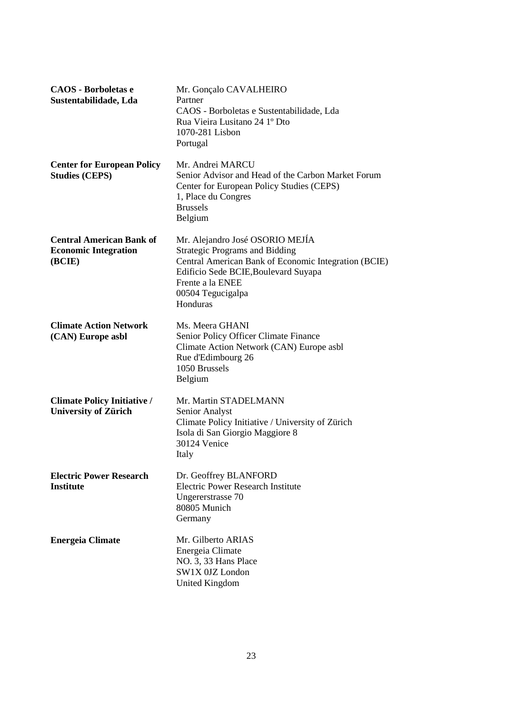| <b>CAOS</b> - Borboletas e<br>Sustentabilidade, Lda                      | Mr. Gonçalo CAVALHEIRO<br>Partner<br>CAOS - Borboletas e Sustentabilidade, Lda<br>Rua Vieira Lusitano 24 1º Dto<br>1070-281 Lisbon<br>Portugal                                                                                |
|--------------------------------------------------------------------------|-------------------------------------------------------------------------------------------------------------------------------------------------------------------------------------------------------------------------------|
| <b>Center for European Policy</b><br><b>Studies (CEPS)</b>               | Mr. Andrei MARCU<br>Senior Advisor and Head of the Carbon Market Forum<br>Center for European Policy Studies (CEPS)<br>1, Place du Congres<br><b>Brussels</b><br>Belgium                                                      |
| <b>Central American Bank of</b><br><b>Economic Integration</b><br>(BCIE) | Mr. Alejandro José OSORIO MEJÍA<br><b>Strategic Programs and Bidding</b><br>Central American Bank of Economic Integration (BCIE)<br>Edificio Sede BCIE, Boulevard Suyapa<br>Frente a la ENEE<br>00504 Tegucigalpa<br>Honduras |
| <b>Climate Action Network</b><br>(CAN) Europe asbl                       | Ms. Meera GHANI<br>Senior Policy Officer Climate Finance<br>Climate Action Network (CAN) Europe asbl<br>Rue d'Edimbourg 26<br>1050 Brussels<br>Belgium                                                                        |
| <b>Climate Policy Initiative /</b><br><b>University of Zürich</b>        | Mr. Martin STADELMANN<br>Senior Analyst<br>Climate Policy Initiative / University of Zürich<br>Isola di San Giorgio Maggiore 8<br>30124 Venice<br>Italy                                                                       |
| <b>Electric Power Research</b><br><b>Institute</b>                       | Dr. Geoffrey BLANFORD<br><b>Electric Power Research Institute</b><br>Ungererstrasse 70<br>80805 Munich<br>Germany                                                                                                             |
| <b>Energeia Climate</b>                                                  | Mr. Gilberto ARIAS<br>Energeia Climate<br>NO. 3, 33 Hans Place<br>SW1X 0JZ London<br><b>United Kingdom</b>                                                                                                                    |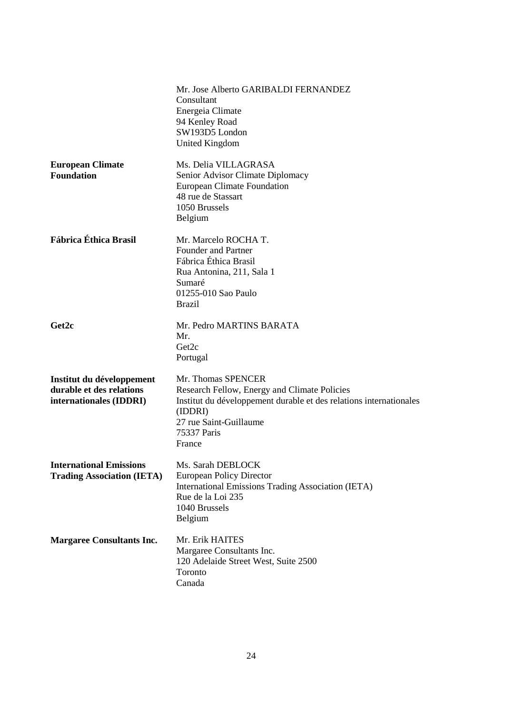|                                                                                  | Mr. Jose Alberto GARIBALDI FERNANDEZ<br>Consultant<br>Energeia Climate<br>94 Kenley Road<br>SW193D5 London<br><b>United Kingdom</b>                                                                    |
|----------------------------------------------------------------------------------|--------------------------------------------------------------------------------------------------------------------------------------------------------------------------------------------------------|
| <b>European Climate</b><br><b>Foundation</b>                                     | Ms. Delia VILLAGRASA<br>Senior Advisor Climate Diplomacy<br><b>European Climate Foundation</b><br>48 rue de Stassart<br>1050 Brussels<br>Belgium                                                       |
| Fábrica Éthica Brasil                                                            | Mr. Marcelo ROCHA T.<br><b>Founder and Partner</b><br>Fábrica Éthica Brasil<br>Rua Antonina, 211, Sala 1<br>Sumaré<br>01255-010 Sao Paulo<br><b>Brazil</b>                                             |
| Get2c                                                                            | Mr. Pedro MARTINS BARATA<br>Mr.<br>Get2c<br>Portugal                                                                                                                                                   |
| Institut du développement<br>durable et des relations<br>internationales (IDDRI) | Mr. Thomas SPENCER<br>Research Fellow, Energy and Climate Policies<br>Institut du développement durable et des relations internationales<br>(IDDRI)<br>27 rue Saint-Guillaume<br>75337 Paris<br>France |
| <b>International Emissions</b><br><b>Trading Association (IETA)</b>              | Ms. Sarah DEBLOCK<br><b>European Policy Director</b><br><b>International Emissions Trading Association (IETA)</b><br>Rue de la Loi 235<br>1040 Brussels<br>Belgium                                     |
| <b>Margaree Consultants Inc.</b>                                                 | Mr. Erik HAITES<br>Margaree Consultants Inc.<br>120 Adelaide Street West, Suite 2500<br>Toronto<br>Canada                                                                                              |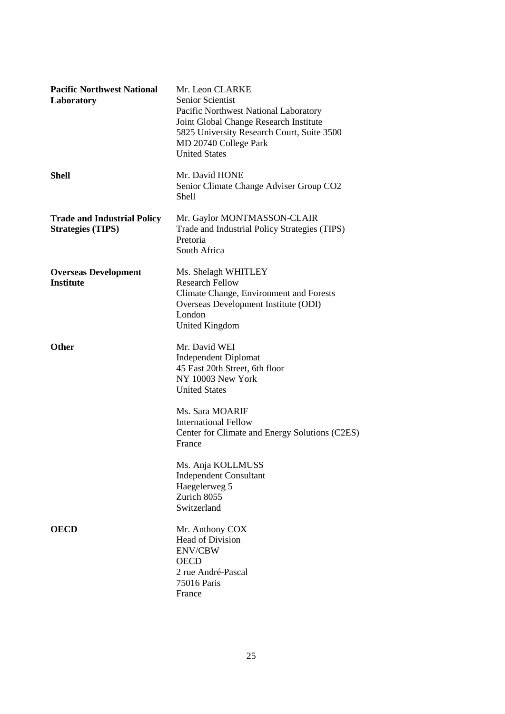| <b>Pacific Northwest National</b><br>Laboratory                | Mr. Leon CLARKE<br>Senior Scientist<br>Pacific Northwest National Laboratory<br>Joint Global Change Research Institute<br>5825 University Research Court, Suite 3500<br>MD 20740 College Park<br><b>United States</b> |
|----------------------------------------------------------------|-----------------------------------------------------------------------------------------------------------------------------------------------------------------------------------------------------------------------|
| <b>Shell</b>                                                   | Mr. David HONE<br>Senior Climate Change Adviser Group CO2<br>Shell                                                                                                                                                    |
| <b>Trade and Industrial Policy</b><br><b>Strategies (TIPS)</b> | Mr. Gaylor MONTMASSON-CLAIR<br>Trade and Industrial Policy Strategies (TIPS)<br>Pretoria<br>South Africa                                                                                                              |
| <b>Overseas Development</b><br><b>Institute</b>                | Ms. Shelagh WHITLEY<br><b>Research Fellow</b><br>Climate Change, Environment and Forests<br>Overseas Development Institute (ODI)<br>London<br>United Kingdom                                                          |
| <b>Other</b>                                                   | Mr. David WEI<br><b>Independent Diplomat</b><br>45 East 20th Street, 6th floor<br>NY 10003 New York<br><b>United States</b>                                                                                           |
|                                                                | Ms. Sara MOARIF<br><b>International Fellow</b><br>Center for Climate and Energy Solutions (C2ES)<br>France                                                                                                            |
|                                                                | Ms. Anja KOLLMUSS<br><b>Independent Consultant</b><br>Haegelerweg 5<br>Zurich 8055<br>Switzerland                                                                                                                     |
| <b>OECD</b>                                                    | Mr. Anthony COX<br><b>Head of Division</b><br><b>ENV/CBW</b><br><b>OECD</b><br>2 rue André-Pascal<br>75016 Paris<br>France                                                                                            |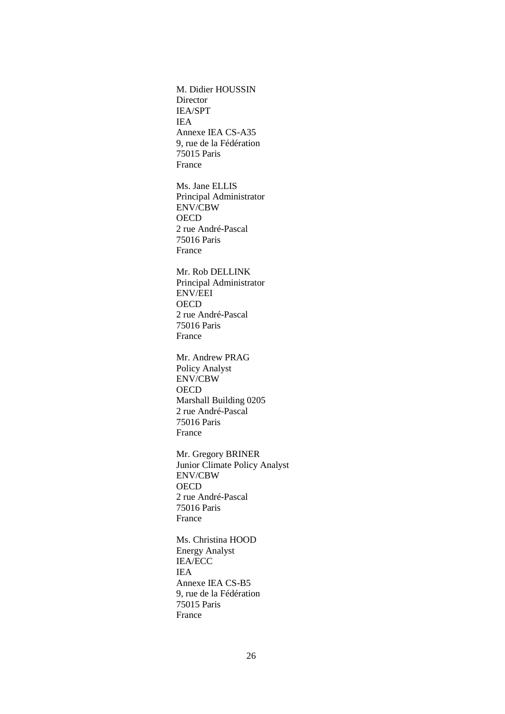M. Didier HOUSSIN **Director** IEA/SPT IEA Annexe IEA CS-A35 9, rue de la Fédération 75015 Paris France

Ms. Jane ELLIS Principal Administrator ENV/CBW **OECD** 2 rue André-Pascal 75016 Paris France

Mr. Rob DELLINK Principal Administrator ENV/EEI **OECD** 2 rue André-Pascal 75016 Paris France

Mr. Andrew PRAG Policy Analyst ENV/CBW **OECD** Marshall Building 0205 2 rue André-Pascal 75016 Paris France

Mr. Gregory BRINER Junior Climate Policy Analyst ENV/CBW **OECD** 2 rue André-Pascal 75016 Paris France

Ms. Christina HOOD Energy Analyst IEA/ECC IEA Annexe IEA CS-B5 9, rue de la Fédération 75015 Paris France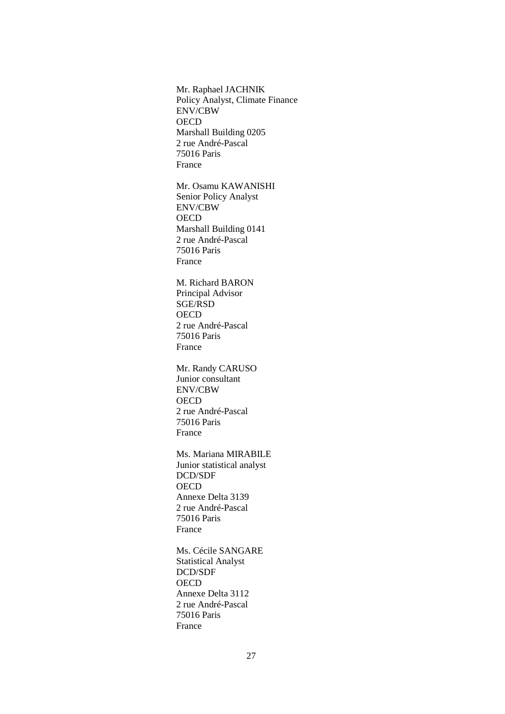Mr. Raphael JACHNIK Policy Analyst, Climate Finance ENV/CBW **OECD** Marshall Building 0205 2 rue André-Pascal 75016 Paris France

Mr. Osamu KAWANISHI Senior Policy Analyst ENV/CBW **OECD** Marshall Building 0141 2 rue André-Pascal 75016 Paris France

M. Richard BARON Principal Advisor SGE/RSD **OECD** 2 rue André-Pascal 75016 Paris France

Mr. Randy CARUSO Junior consultant ENV/CBW **OECD** 2 rue André-Pascal 75016 Paris France

Ms. Mariana MIRABILE Junior statistical analyst DCD/SDF **OECD** Annexe Delta 3139 2 rue André-Pascal 75016 Paris France

Ms. Cécile SANGARE Statistical Analyst DCD/SDF **OECD** Annexe Delta 3112 2 rue André-Pascal 75016 Paris France